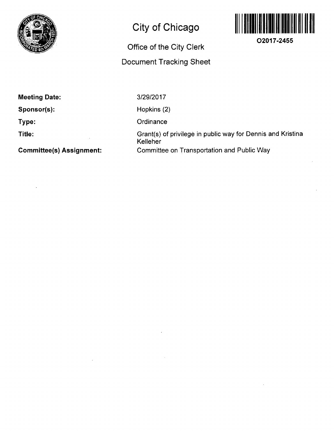

# **City of Chicago**

## **Office of the City Clerk**

## **Document Tracking Sheet**



**O2017-2455** 

**Sponsor(s):** 

**Type:** 

**Title:** 

**Committee(s) Assignment:** 

3/29/2017

Hopkins (2)

**Ordinance** 

Grant(s) of privilege in public way for Dennis and Kristina Kelleher Committee on Transportation and Public Way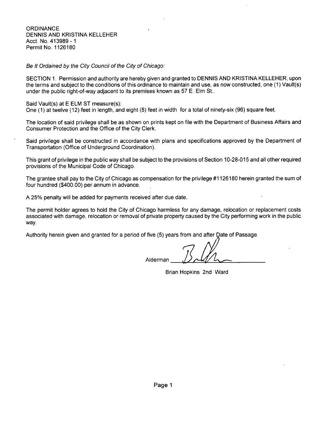**ORDINANCE** DENNIS AND KRISTINA KELLEHER Acct. No. 413989 - 1 Permit No. 1126180

Be It Ordained by the City Council of the City of Chicago:

SECTION 1. Permission and authority are hereby given and granted to DENNIS AND KRISTINA KELLEHER, upon the terms and subject to the conditions of this ordinance to maintain and use, as now constructed, one (1) Vault(s) under the public right-of-way adjacent to its premises known as 57 E. Elm St..

Said Vault(s) at E ELM ST measure(s):

One (1) at twelve (12) feet in length, and eight (8) feet in width for a total of ninety-six (96) square feet.

The location of said privilege shall be as shown on prints kept on file with the Department of Business Affairs and Consumer Protection and the Office of the City Clerk.

Said privilege shall be constructed in accordance with plans and specifications approved by the Department of Transportation (Office of Underground Coordination).

This grant of privilege in the public way shall be subject to the provisions of Section 10-28-015 and all other required provisions of the Municipal Code of Chicago.

The grantee shall pay to the City of Chicago as compensation for the privilege #1126180 herein granted the sum of four hundred (\$400.00) per annum in advance.

A 25% penalty will be added for payments received after due date.

The permit holder agrees to hold the City of Chicago harmless for any damage, relocation or replacement costs associated with damage, relocation or removal of private property caused by the City performing work in the public way.

Authority herein given and granted for a period of five (5) years from and after Date of Passage

Alderman

Brian Hopkins 2nd Ward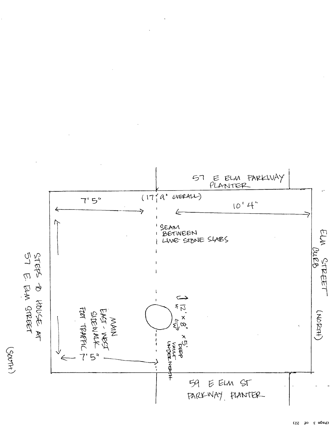

 $(\text{page 3} \circ \text{of } \text{3})$